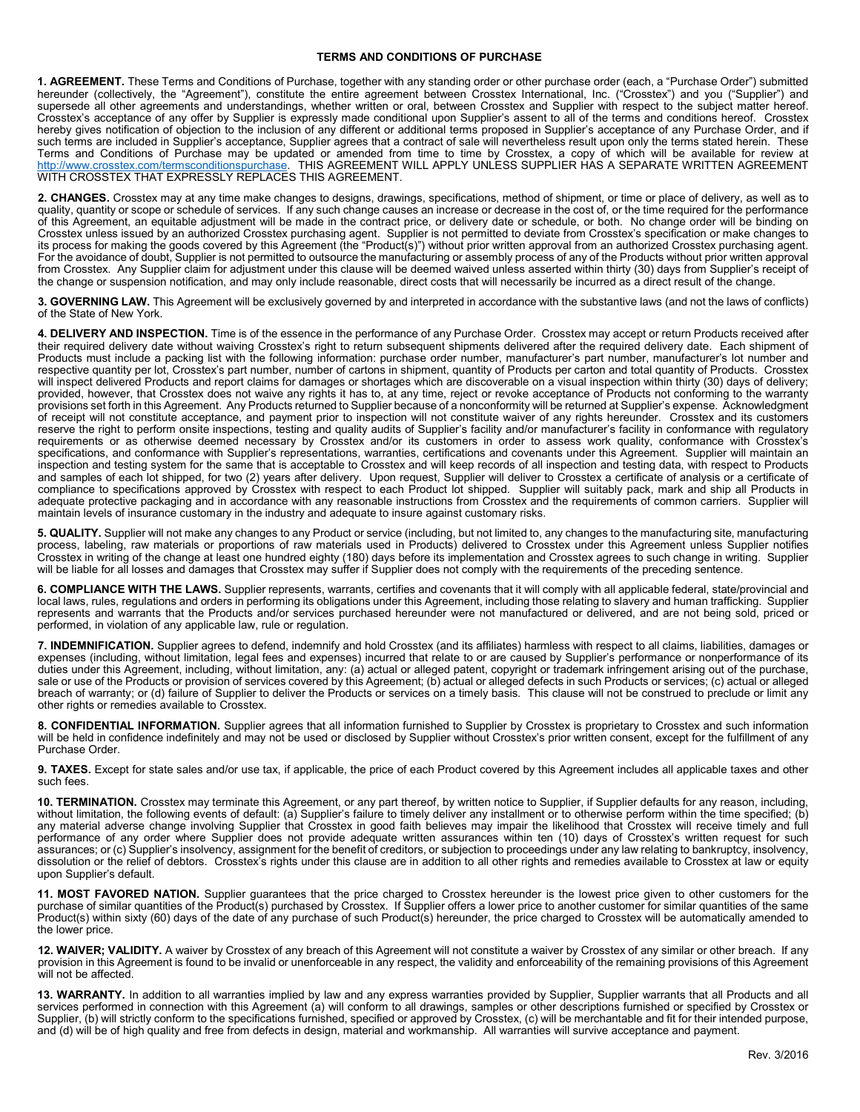## TERMS AND CONDITIONS OF PURCHASE

1. AGREEMENT. These Terms and Conditions of Purchase, together with any standing order or other purchase order (each, a "Purchase Order") submitted hereunder (collectively, the "Agreement"), constitute the entire agreement between Crosstex International, Inc. ("Crosstex") and you ("Supplier") and supersede all other agreements and understandings, whether written or oral, between Crosstex and Supplier with respect to the subject matter hereof. Crosstex's acceptance of any offer by Supplier is expressly made conditional upon Supplier's assent to all of the terms and conditions hereof. Crosstex hereby gives notification of objection to the inclusion of any different or additional terms proposed in Supplier's acceptance of any Purchase Order, and if such terms are included in Supplier's acceptance, Supplier agrees that a contract of sale will nevertheless result upon only the terms stated herein. These Terms and Conditions of Purchase may be updated or amended from time to time by Crosstex, a copy of which will be available for review at http://www.crosstex.com/termsconditionspurchase. THIS AGREEMENT WILL APPLY UNLESS SUPPLIER HAS A SEPARATE WRITTEN AGREEMENT WITH CROSSTEX THAT EXPRESSLY REPLACES THIS AGREEMENT.

2. CHANGES. Crosstex may at any time make changes to designs, drawings, specifications, method of shipment, or time or place of delivery, as well as to quality, quantity or scope or schedule of services. If any such change causes an increase or decrease in the cost of, or the time required for the performance of this Agreement, an equitable adjustment will be made in the contract price, or delivery date or schedule, or both. No change order will be binding on Crosstex unless issued by an authorized Crosstex purchasing agent. Supplier is not permitted to deviate from Crosstex's specification or make changes to its process for making the goods covered by this Agreement (the "Product(s)") without prior written approval from an authorized Crosstex purchasing agent. For the avoidance of doubt, Supplier is not permitted to outsource the manufacturing or assembly process of any of the Products without prior written approval from Crosstex. Any Supplier claim for adjustment under this clause will be deemed waived unless asserted within thirty (30) days from Supplier's receipt of the change or suspension notification, and may only include reasonable, direct costs that will necessarily be incurred as a direct result of the change.

3. GOVERNING LAW. This Agreement will be exclusively governed by and interpreted in accordance with the substantive laws (and not the laws of conflicts) of the State of New York.

4. DELIVERY AND INSPECTION. Time is of the essence in the performance of any Purchase Order. Crosstex may accept or return Products received after their required delivery date without waiving Crosstex's right to return subsequent shipments delivered after the required delivery date. Each shipment of Products must include a packing list with the following information: purchase order number, manufacturer's part number, manufacturer's lot number and respective quantity per lot, Crosstex's part number, number of cartons in shipment, quantity of Products per carton and total quantity of Products. Crosstex will inspect delivered Products and report claims for damages or shortages which are discoverable on a visual inspection within thirty (30) days of delivery; provided, however, that Crosstex does not waive any rights it has to, at any time, reject or revoke acceptance of Products not conforming to the warranty provisions set forth in this Agreement. Any Products returned to Supplier because of a nonconformity will be returned at Supplier's expense. Acknowledgment of receipt will not constitute acceptance, and payment prior to inspection will not constitute waiver of any rights hereunder. Crosstex and its customers reserve the right to perform onsite inspections, testing and quality audits of Supplier's facility and/or manufacturer's facility in conformance with regulatory requirements or as otherwise deemed necessary by Crosstex and/or its customers in order to assess work quality, conformance with Crosstex's specifications, and conformance with Supplier's representations, warranties, certifications and covenants under this Agreement. Supplier will maintain an inspection and testing system for the same that is acceptable to Crosstex and will keep records of all inspection and testing data, with respect to Products and samples of each lot shipped, for two (2) years after delivery. Upon request, Supplier will deliver to Crosstex a certificate of analysis or a certificate of compliance to specifications approved by Crosstex with respect to each Product lot shipped. Supplier will suitably pack, mark and ship all Products in adequate protective packaging and in accordance with any reasonable instructions from Crosstex and the requirements of common carriers. Supplier will maintain levels of insurance customary in the industry and adequate to insure against customary risks.

5. QUALITY. Supplier will not make any changes to any Product or service (including, but not limited to, any changes to the manufacturing site, manufacturing process, labeling, raw materials or proportions of raw materials used in Products) delivered to Crosstex under this Agreement unless Supplier notifies Crosstex in writing of the change at least one hundred eighty (180) days before its implementation and Crosstex agrees to such change in writing. Supplier will be liable for all losses and damages that Crosstex may suffer if Supplier does not comply with the requirements of the preceding sentence.

6. COMPLIANCE WITH THE LAWS. Supplier represents, warrants, certifies and covenants that it will comply with all applicable federal, state/provincial and local laws, rules, regulations and orders in performing its obligations under this Agreement, including those relating to slavery and human trafficking. Supplier represents and warrants that the Products and/or services purchased hereunder were not manufactured or delivered, and are not being sold, priced or performed, in violation of any applicable law, rule or regulation.

7. INDEMNIFICATION. Supplier agrees to defend, indemnify and hold Crosstex (and its affiliates) harmless with respect to all claims, liabilities, damages or expenses (including, without limitation, legal fees and expenses) incurred that relate to or are caused by Supplier's performance or nonperformance of its duties under this Agreement, including, without limitation, any: (a) actual or alleged patent, copyright or trademark infringement arising out of the purchase, sale or use of the Products or provision of services covered by this Agreement; (b) actual or alleged defects in such Products or services; (c) actual or alleged breach of warranty; or (d) failure of Supplier to deliver the Products or services on a timely basis. This clause will not be construed to preclude or limit any other rights or remedies available to Crosstex.

8. CONFIDENTIAL INFORMATION. Supplier agrees that all information furnished to Supplier by Crosstex is proprietary to Crosstex and such information will be held in confidence indefinitely and may not be used or disclosed by Supplier without Crosstex's prior written consent, except for the fulfillment of any Purchase Order.

9. TAXES. Except for state sales and/or use tax, if applicable, the price of each Product covered by this Agreement includes all applicable taxes and other such fees.

10. TERMINATION. Crosstex may terminate this Agreement, or any part thereof, by written notice to Supplier, if Supplier defaults for any reason, including, without limitation, the following events of default: (a) Supplier's failure to timely deliver any installment or to otherwise perform within the time specified; (b) any material adverse change involving Supplier that Crosstex in good faith believes may impair the likelihood that Crosstex will receive timely and full performance of any order where Supplier does not provide adequate written assurances within ten (10) days of Crosstex's written request for such assurances; or (c) Supplier's insolvency, assignment for the benefit of creditors, or subjection to proceedings under any law relating to bankruptcy, insolvency, dissolution or the relief of debtors. Crosstex's rights under this clause are in addition to all other rights and remedies available to Crosstex at law or equity upon Supplier's default.

11. MOST FAVORED NATION. Supplier guarantees that the price charged to Crosstex hereunder is the lowest price given to other customers for the purchase of similar quantities of the Product(s) purchased by Crosstex. If Supplier offers a lower price to another customer for similar quantities of the same Product(s) within sixty (60) days of the date of any purchase of such Product(s) hereunder, the price charged to Crosstex will be automatically amended to the lower price.

12. WAIVER; VALIDITY. A waiver by Crosstex of any breach of this Agreement will not constitute a waiver by Crosstex of any similar or other breach. If any provision in this Agreement is found to be invalid or unenforceable in any respect, the validity and enforceability of the remaining provisions of this Agreement will not be affected.

13. WARRANTY. In addition to all warranties implied by law and any express warranties provided by Supplier, Supplier warrants that all Products and all services performed in connection with this Agreement (a) will conform to all drawings, samples or other descriptions furnished or specified by Crosstex or Supplier, (b) will strictly conform to the specifications furnished, specified or approved by Crosstex, (c) will be merchantable and fit for their intended purpose, and (d) will be of high quality and free from defects in design, material and workmanship. All warranties will survive acceptance and payment.